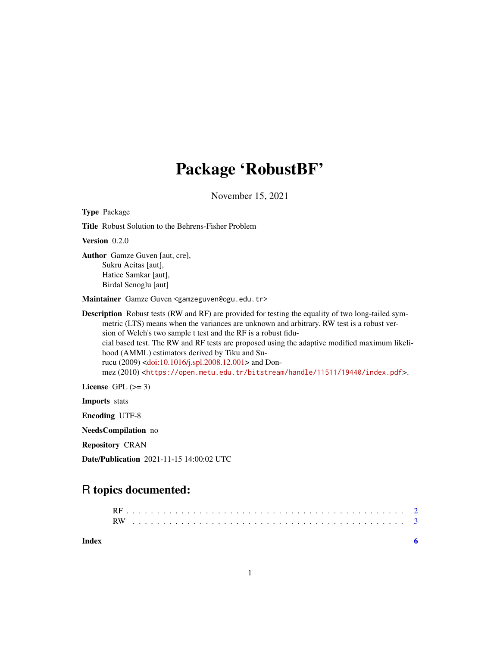## Package 'RobustBF'

November 15, 2021

Type Package Title Robust Solution to the Behrens-Fisher Problem Version 0.2.0 Author Gamze Guven [aut, cre], Sukru Acitas [aut], Hatice Samkar [aut], Birdal Senoglu [aut] Maintainer Gamze Guven <gamzeguven@ogu.edu.tr> Description Robust tests (RW and RF) are provided for testing the equality of two long-tailed symmetric (LTS) means when the variances are unknown and arbitrary. RW test is a robust version of Welch's two sample t test and the RF is a robust fiducial based test. The RW and RF tests are proposed using the adaptive modified maximum likelihood (AMML) estimators derived by Tiku and Surucu (2009) [<doi:10.1016/j.spl.2008.12.001>](https://doi.org/10.1016/j.spl.2008.12.001) and Donmez (2010) <<https://open.metu.edu.tr/bitstream/handle/11511/19440/index.pdf>>. License GPL  $(>= 3)$ Imports stats Encoding UTF-8 NeedsCompilation no Repository CRAN

Date/Publication 2021-11-15 14:00:02 UTC

### R topics documented:

1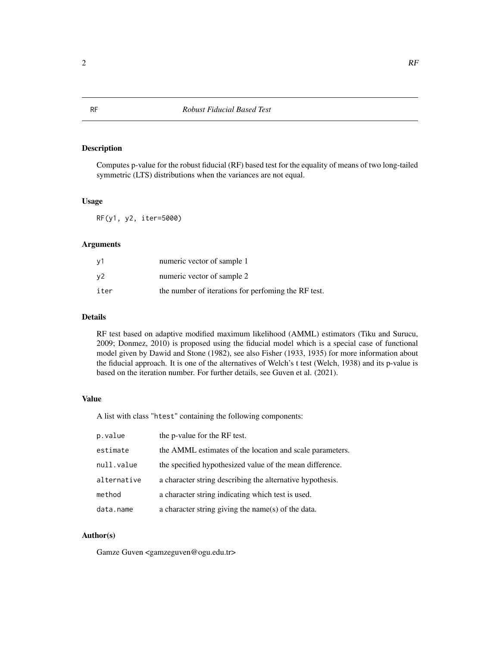#### Description

Computes p-value for the robust fiducial (RF) based test for the equality of means of two long-tailed symmetric (LTS) distributions when the variances are not equal.

#### Usage

RF(y1, y2, iter=5000)

#### Arguments

| v1             | numeric vector of sample 1                           |
|----------------|------------------------------------------------------|
| v <sub>2</sub> | numeric vector of sample 2                           |
| iter           | the number of iterations for performing the RF test. |

#### Details

RF test based on adaptive modified maximum likelihood (AMML) estimators (Tiku and Surucu, 2009; Donmez, 2010) is proposed using the fiducial model which is a special case of functional model given by Dawid and Stone (1982), see also Fisher (1933, 1935) for more information about the fiducial approach. It is one of the alternatives of Welch's t test (Welch, 1938) and its p-value is based on the iteration number. For further details, see Guven et al. (2021).

#### Value

A list with class "htest" containing the following components:

| p.value     | the p-value for the RF test.                              |
|-------------|-----------------------------------------------------------|
| estimate    | the AMML estimates of the location and scale parameters.  |
| null.value  | the specified hypothesized value of the mean difference.  |
| alternative | a character string describing the alternative hypothesis. |
| method      | a character string indicating which test is used.         |
| data.name   | a character string giving the name(s) of the data.        |

#### Author(s)

Gamze Guven <gamzeguven@ogu.edu.tr>

<span id="page-1-0"></span>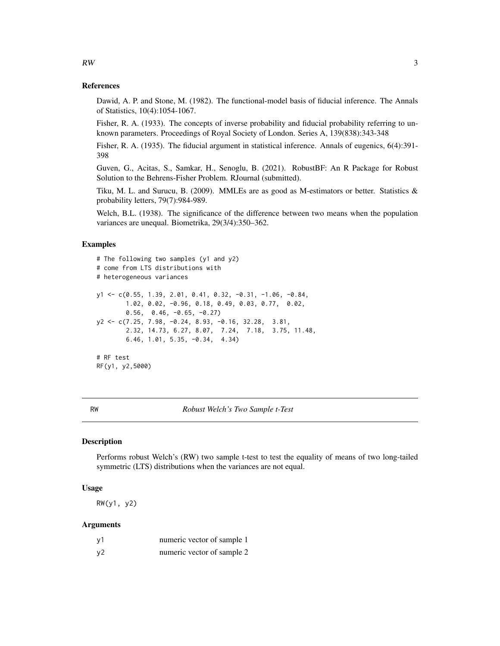#### References

Dawid, A. P. and Stone, M. (1982). The functional-model basis of fiducial inference. The Annals of Statistics, 10(4):1054-1067.

Fisher, R. A. (1933). The concepts of inverse probability and fiducial probability referring to unknown parameters. Proceedings of Royal Society of London. Series A, 139(838):343-348

Fisher, R. A. (1935). The fiducial argument in statistical inference. Annals of eugenics, 6(4):391- 398

Guven, G., Acitas, S., Samkar, H., Senoglu, B. (2021). RobustBF: An R Package for Robust Solution to the Behrens-Fisher Problem. RJournal (submitted).

Tiku, M. L. and Surucu, B. (2009). MMLEs are as good as M-estimators or better. Statistics  $\&$ probability letters, 79(7):984-989.

Welch, B.L. (1938). The significance of the difference between two means when the population variances are unequal. Biometrika, 29(3/4):350–362.

#### Examples

```
# The following two samples (y1 and y2)
# come from LTS distributions with
# heterogeneous variances
y1 <- c(0.55, 1.39, 2.01, 0.41, 0.32, -0.31, -1.06, -0.84,
        1.02, 0.02, -0.96, 0.18, 0.49, 0.03, 0.77, 0.02,
       0.56, 0.46, -0.65, -0.27)
y2 <- c(7.25, 7.98, -0.24, 8.93, -0.16, 32.28, 3.81,
        2.32, 14.73, 6.27, 8.07, 7.24, 7.18, 3.75, 11.48,
        6.46, 1.01, 5.35, -0.34, 4.34)
# RF test
RF(y1, y2,5000)
```
RW *Robust Welch's Two Sample t-Test*

#### **Description**

Performs robust Welch's (RW) two sample t-test to test the equality of means of two long-tailed symmetric (LTS) distributions when the variances are not equal.

#### Usage

RW(y1, y2)

#### Arguments

| y1 | numeric vector of sample 1 |
|----|----------------------------|
| y2 | numeric vector of sample 2 |

<span id="page-2-0"></span> $RW$  3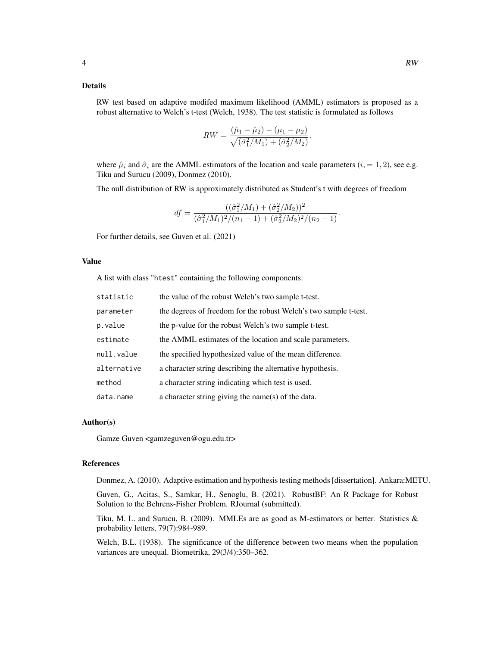#### Details

RW test based on adaptive modifed maximum likelihood (AMML) estimators is proposed as a robust alternative to Welch's t-test (Welch, 1938). The test statistic is formulated as follows

$$
RW = \frac{(\hat{\mu}_1 - \hat{\mu}_2) - (\mu_1 - \mu_2)}{\sqrt{(\hat{\sigma}_1^2/M_1) + (\hat{\sigma}_2^2/M_2)}}.
$$

where  $\hat{\mu}_i$  and  $\hat{\sigma}_i$  are the AMML estimators of the location and scale parameters ( $i = 1, 2$ ), see e.g. Tiku and Surucu (2009), Donmez (2010).

The null distribution of RW is approximately distributed as Student's t with degrees of freedom

$$
df = \frac{((\hat{\sigma}_1^2/M_1) + (\hat{\sigma}_2^2/M_2))^2}{(\hat{\sigma}_1^2/M_1)^2/(n_1 - 1) + (\hat{\sigma}_2^2/M_2)^2/(n_2 - 1)}.
$$

For further details, see Guven et al. (2021)

#### Value

A list with class "htest" containing the following components:

| statistic   | the value of the robust Welch's two sample t-test.               |
|-------------|------------------------------------------------------------------|
| parameter   | the degrees of freedom for the robust Welch's two sample t-test. |
| p.value     | the p-value for the robust Welch's two sample t-test.            |
| estimate    | the AMML estimates of the location and scale parameters.         |
| null.value  | the specified hypothesized value of the mean difference.         |
| alternative | a character string describing the alternative hypothesis.        |
| method      | a character string indicating which test is used.                |
| data.name   | a character string giving the name(s) of the data.               |

#### Author(s)

Gamze Guven <gamzeguven@ogu.edu.tr>

#### References

Donmez, A. (2010). Adaptive estimation and hypothesis testing methods [dissertation]. Ankara:METU.

Guven, G., Acitas, S., Samkar, H., Senoglu, B. (2021). RobustBF: An R Package for Robust Solution to the Behrens-Fisher Problem. RJournal (submitted).

Tiku, M. L. and Surucu, B. (2009). MMLEs are as good as M-estimators or better. Statistics  $\&$ probability letters, 79(7):984-989.

Welch, B.L. (1938). The significance of the difference between two means when the population variances are unequal. Biometrika, 29(3/4):350–362.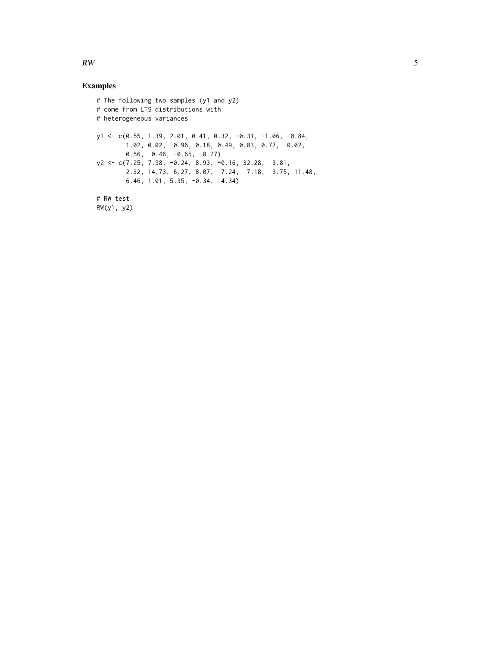#### Examples

```
# The following two samples (y1 and y2)
# come from LTS distributions with
# heterogeneous variances
y1 <- c(0.55, 1.39, 2.01, 0.41, 0.32, -0.31, -1.06, -0.84,
        1.02, 0.02, -0.96, 0.18, 0.49, 0.03, 0.77, 0.02,
        0.56, 0.46, -0.65, -0.27)
y2 <- c(7.25, 7.98, -0.24, 8.93, -0.16, 32.28, 3.81,
        2.32, 14.73, 6.27, 8.07, 7.24, 7.18, 3.75, 11.48,
        6.46, 1.01, 5.35, -0.34, 4.34)
# RW test
RW(y1, y2)
```
 $RW$  5